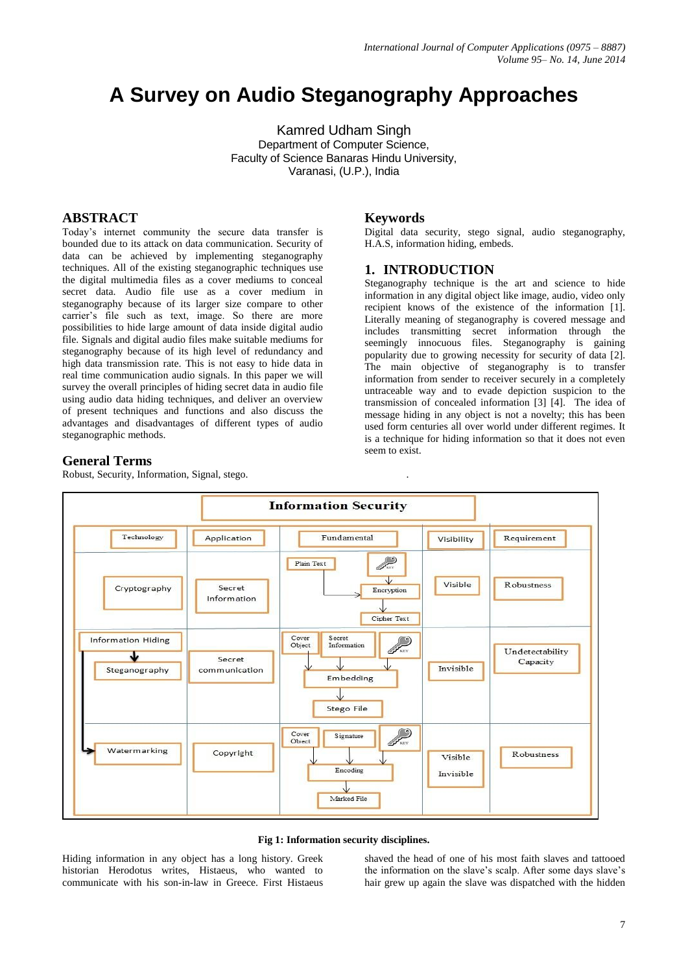# **A Survey on Audio Steganography Approaches**

Kamred Udham Singh Department of Computer Science, Faculty of Science Banaras Hindu University, Varanasi, (U.P.), India

# **ABSTRACT**

Today's internet community the secure data transfer is bounded due to its attack on data communication. Security of data can be achieved by implementing steganography techniques. All of the existing steganographic techniques use the digital multimedia files as a cover mediums to conceal secret data. Audio file use as a cover medium in steganography because of its larger size compare to other carrier's file such as text, image. So there are more possibilities to hide large amount of data inside digital audio file. Signals and digital audio files make suitable mediums for steganography because of its high level of redundancy and high data transmission rate. This is not easy to hide data in real time communication audio signals. In this paper we will survey the overall principles of hiding secret data in audio file using audio data hiding techniques, and deliver an overview of present techniques and functions and also discuss the advantages and disadvantages of different types of audio steganographic methods.

# **Keywords**

Digital data security, stego signal, audio steganography, H.A.S, information hiding, embeds.

# **1. INTRODUCTION**

.

Steganography technique is the art and science to hide information in any digital object like image, audio, video only recipient knows of the existence of the information [1]. Literally meaning of steganography is covered message and includes transmitting secret information through the seemingly innocuous files. Steganography is gaining popularity due to growing necessity for security of data [2]. The main objective of steganography is to transfer information from sender to receiver securely in a completely untraceable way and to evade depiction suspicion to the transmission of concealed information [3] [4]. The idea of message hiding in any object is not a novelty; this has been used form centuries all over world under different regimes. It is a technique for hiding information so that it does not even seem to exist.

# **General Terms**

Robust, Security, Information, Signal, stego.





Hiding information in any object has a long history. Greek historian Herodotus writes, Histaeus, who wanted to communicate with his son-in-law in Greece. First Histaeus

shaved the head of one of his most faith slaves and tattooed the information on the slave's scalp. After some days slave's hair grew up again the slave was dispatched with the hidden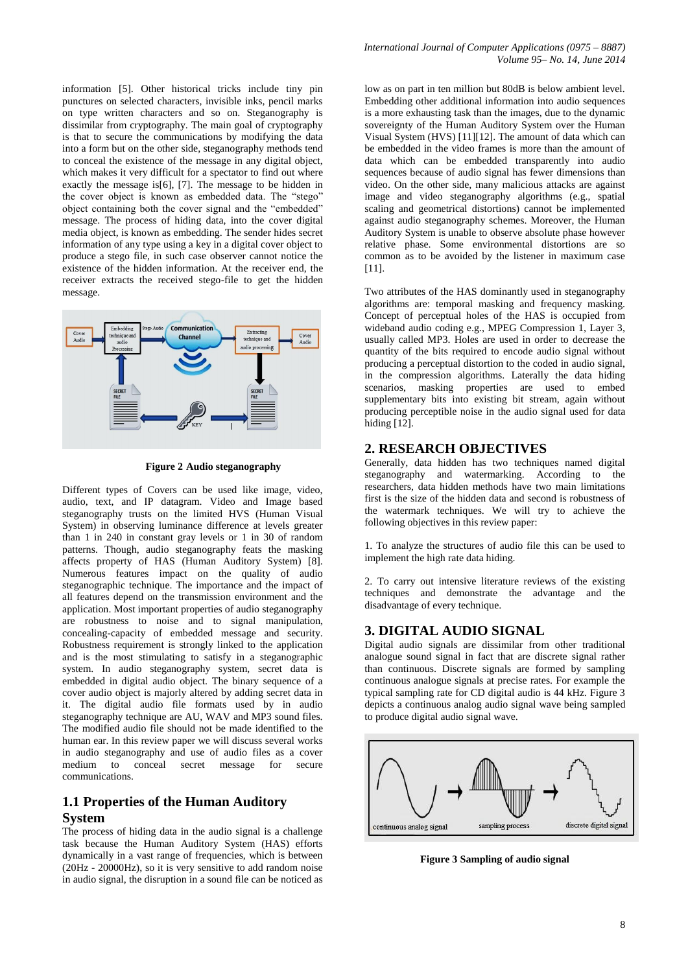information [5]. Other historical tricks include tiny pin punctures on selected characters, invisible inks, pencil marks on type written characters and so on. Steganography is dissimilar from cryptography. The main goal of cryptography is that to secure the communications by modifying the data into a form but on the other side, steganography methods tend to conceal the existence of the message in any digital object, which makes it very difficult for a spectator to find out where exactly the message is[6], [7]. The message to be hidden in the cover object is known as embedded data. The "stego" object containing both the cover signal and the "embedded" message. The process of hiding data, into the cover digital media object, is known as embedding. The sender hides secret information of any type using a key in a digital cover object to produce a stego file, in such case observer cannot notice the existence of the hidden information. At the receiver end, the receiver extracts the received stego-file to get the hidden message.



**Figure 2 Audio steganography**

Different types of Covers can be used like image, video, audio, text, and IP datagram. Video and Image based steganography trusts on the limited HVS (Human Visual System) in observing luminance difference at levels greater than 1 in 240 in constant gray levels or 1 in 30 of random patterns. Though, audio steganography feats the masking affects property of HAS (Human Auditory System) [8]. Numerous features impact on the quality of audio steganographic technique. The importance and the impact of all features depend on the transmission environment and the application. Most important properties of audio steganography are robustness to noise and to signal manipulation, concealing-capacity of embedded message and security. Robustness requirement is strongly linked to the application and is the most stimulating to satisfy in a steganographic system. In audio steganography system, secret data is embedded in digital audio object. The binary sequence of a cover audio object is majorly altered by adding secret data in it. The digital audio file formats used by in audio steganography technique are AU, WAV and MP3 sound files. The modified audio file should not be made identified to the human ear. In this review paper we will discuss several works in audio steganography and use of audio files as a cover medium to conceal secret message for secure communications.

# **1.1 Properties of the Human Auditory System**

The process of hiding data in the audio signal is a challenge task because the Human Auditory System (HAS) efforts dynamically in a vast range of frequencies, which is between (20Hz - 20000Hz), so it is very sensitive to add random noise in audio signal, the disruption in a sound file can be noticed as

low as on part in ten million but 80dB is below ambient level. Embedding other additional information into audio sequences is a more exhausting task than the images, due to the dynamic sovereignty of the Human Auditory System over the Human Visual System (HVS) [11][12]. The amount of data which can be embedded in the video frames is more than the amount of data which can be embedded transparently into audio sequences because of audio signal has fewer dimensions than video. On the other side, many malicious attacks are against image and video steganography algorithms (e.g., spatial scaling and geometrical distortions) cannot be implemented against audio steganography schemes. Moreover, the Human Auditory System is unable to observe absolute phase however relative phase. Some environmental distortions are so common as to be avoided by the listener in maximum case [11].

Two attributes of the HAS dominantly used in steganography algorithms are: temporal masking and frequency masking. Concept of perceptual holes of the HAS is occupied from wideband audio coding e.g., MPEG Compression 1, Layer 3, usually called MP3. Holes are used in order to decrease the quantity of the bits required to encode audio signal without producing a perceptual distortion to the coded in audio signal, in the compression algorithms. Laterally the data hiding scenarios, masking properties are used to embed supplementary bits into existing bit stream, again without producing perceptible noise in the audio signal used for data hiding [12].

# **2. RESEARCH OBJECTIVES**

Generally, data hidden has two techniques named digital steganography and watermarking. According to the researchers, data hidden methods have two main limitations first is the size of the hidden data and second is robustness of the watermark techniques. We will try to achieve the following objectives in this review paper:

1. To analyze the structures of audio file this can be used to implement the high rate data hiding.

2. To carry out intensive literature reviews of the existing techniques and demonstrate the advantage and the disadvantage of every technique.

## **3. DIGITAL AUDIO SIGNAL**

Digital audio signals are dissimilar from other traditional analogue sound signal in fact that are discrete signal rather than continuous. Discrete signals are formed by sampling continuous analogue signals at precise rates. For example the typical sampling rate for CD digital audio is 44 kHz. Figure 3 depicts a continuous analog audio signal wave being sampled to produce digital audio signal wave.



**Figure 3 Sampling of audio signal**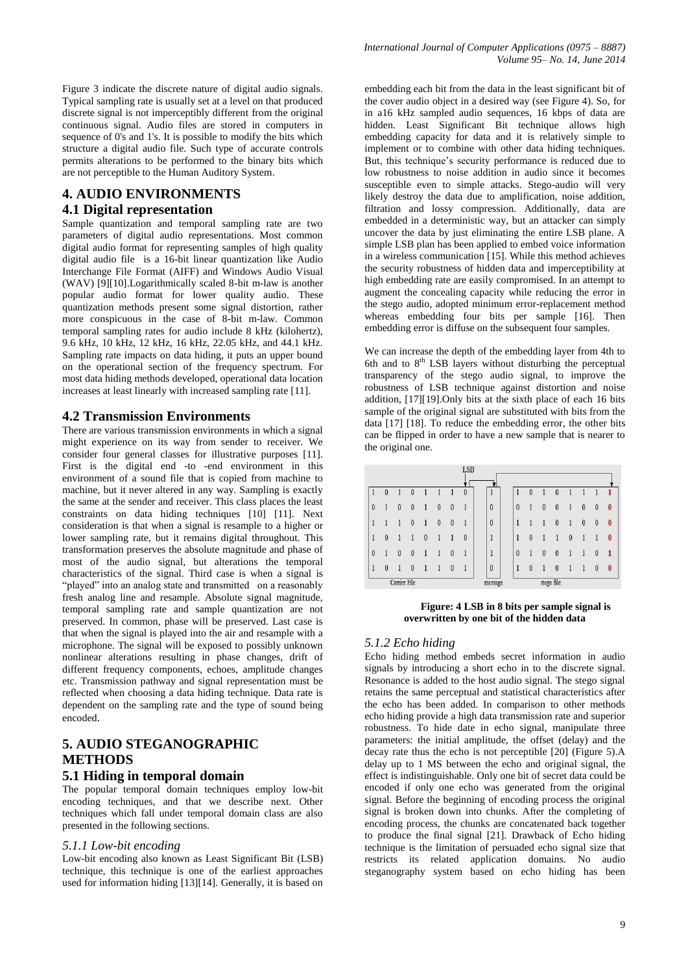Figure 3 indicate the discrete nature of digital audio signals. Typical sampling rate is usually set at a level on that produced discrete signal is not imperceptibly different from the original continuous signal. Audio files are stored in computers in sequence of 0's and 1's. It is possible to modify the bits which structure a digital audio file. Such type of accurate controls permits alterations to be performed to the binary bits which are not perceptible to the Human Auditory System.

# **4. AUDIO ENVIRONMENTS 4.1 Digital representation**

Sample quantization and temporal sampling rate are two parameters of digital audio representations. Most common digital audio format for representing samples of high quality digital audio file is a 16-bit linear quantization like Audio Interchange File Format (AIFF) and Windows Audio Visual (WAV) [9][10].Logarithmically scaled 8-bit m-law is another popular audio format for lower quality audio. These quantization methods present some signal distortion, rather more conspicuous in the case of 8-bit m-law. Common temporal sampling rates for audio include 8 kHz (kilohertz), 9.6 kHz, 10 kHz, 12 kHz, 16 kHz, 22.05 kHz, and 44.1 kHz. Sampling rate impacts on data hiding, it puts an upper bound on the operational section of the frequency spectrum. For most data hiding methods developed, operational data location increases at least linearly with increased sampling rate [11].

## **4.2 Transmission Environments**

There are various transmission environments in which a signal might experience on its way from sender to receiver. We consider four general classes for illustrative purposes [11]. First is the digital end -to -end environment in this environment of a sound file that is copied from machine to machine, but it never altered in any way. Sampling is exactly the same at the sender and receiver. This class places the least constraints on data hiding techniques [10] [11]. Next consideration is that when a signal is resample to a higher or lower sampling rate, but it remains digital throughout. This transformation preserves the absolute magnitude and phase of most of the audio signal, but alterations the temporal characteristics of the signal. Third case is when a signal is "played" into an analog state and transmitted on a reasonably fresh analog line and resample. Absolute signal magnitude, temporal sampling rate and sample quantization are not preserved. In common, phase will be preserved. Last case is that when the signal is played into the air and resample with a microphone. The signal will be exposed to possibly unknown nonlinear alterations resulting in phase changes, drift of different frequency components, echoes, amplitude changes etc. Transmission pathway and signal representation must be reflected when choosing a data hiding technique. Data rate is dependent on the sampling rate and the type of sound being encoded.

# **5. AUDIO STEGANOGRAPHIC METHODS**

## **5.1 Hiding in temporal domain**

The popular temporal domain techniques employ low-bit encoding techniques, and that we describe next. Other techniques which fall under temporal domain class are also presented in the following sections.

#### *5.1.1 Low-bit encoding*

Low-bit encoding also known as Least Significant Bit (LSB) technique, this technique is one of the earliest approaches used for information hiding [13][14]. Generally, it is based on

embedding each bit from the data in the least significant bit of the cover audio object in a desired way (see Figure 4). So, for in a16 kHz sampled audio sequences, 16 kbps of data are hidden. Least Significant Bit technique allows high embedding capacity for data and it is relatively simple to implement or to combine with other data hiding techniques. But, this technique's security performance is reduced due to low robustness to noise addition in audio since it becomes susceptible even to simple attacks. Stego-audio will very likely destroy the data due to amplification, noise addition, filtration and lossy compression. Additionally, data are embedded in a deterministic way, but an attacker can simply uncover the data by just eliminating the entire LSB plane. A simple LSB plan has been applied to embed voice information in a wireless communication [15]. While this method achieves the security robustness of hidden data and imperceptibility at high embedding rate are easily compromised. In an attempt to augment the concealing capacity while reducing the error in the stego audio, adopted minimum error-replacement method whereas embedding four bits per sample [16]. Then embedding error is diffuse on the subsequent four samples.

We can increase the depth of the embedding layer from 4th to 6th and to  $8<sup>th</sup>$  LSB layers without disturbing the perceptual transparency of the stego audio signal, to improve the robustness of LSB technique against distortion and noise addition, [17][19].Only bits at the sixth place of each 16 bits sample of the original signal are substituted with bits from the data [17] [18]. To reduce the embedding error, the other bits can be flipped in order to have a new sample that is nearer to the original one.

|          |   |              |                  |   |          |              | <b>LSB</b> |          |          |          |   |            |          |          |              |                  |
|----------|---|--------------|------------------|---|----------|--------------|------------|----------|----------|----------|---|------------|----------|----------|--------------|------------------|
|          | 0 |              | 0                |   |          |              | 0          | Ŧ        |          | 0        |   |            |          |          |              |                  |
| $\theta$ |   | $\theta$     | $\theta$         |   | $\theta$ | $\theta$     |            | $\theta$ | $\theta$ |          | 0 | $\theta$   |          | $\theta$ | $\theta$     | 0                |
|          |   |              | $\boldsymbol{0}$ |   | 0        | $\theta$     |            | $\theta$ |          |          |   | $\theta$   |          | 0        | $\theta$     | $\bf{0}$         |
| 1        | 0 |              |                  | 0 |          |              | $\theta$   | 1        | 1        | 0        |   |            | $\theta$ |          |              | $\bf{0}$         |
| $\theta$ |   | $\theta$     | $\theta$         |   |          | $\theta$     |            | 1        | $\theta$ |          | 0 | $\theta$   |          |          | 0            | 1                |
| 1        | 0 |              | 0                |   |          | $\mathbf{0}$ |            | 0        | 1        | $\bf{0}$ |   | 0          |          |          | $\mathbf{0}$ | $\boldsymbol{0}$ |
|          |   | Carrier File |                  |   |          |              |            | message  |          |          |   | stego file |          |          |              |                  |

**Figure: 4 LSB in 8 bits per sample signal is overwritten by one bit of the hidden data**

#### *5.1.2 Echo hiding*

Echo hiding method embeds secret information in audio signals by introducing a short echo in to the discrete signal. Resonance is added to the host audio signal. The stego signal retains the same perceptual and statistical characteristics after the echo has been added. In comparison to other methods echo hiding provide a high data transmission rate and superior robustness. To hide date in echo signal, manipulate three parameters: the initial amplitude, the offset (delay) and the decay rate thus the echo is not perceptible [20] (Figure 5).A delay up to 1 MS between the echo and original signal, the effect is indistinguishable. Only one bit of secret data could be encoded if only one echo was generated from the original signal. Before the beginning of encoding process the original signal is broken down into chunks. After the completing of encoding process, the chunks are concatenated back together to produce the final signal [21]. Drawback of Echo hiding technique is the limitation of persuaded echo signal size that restricts its related application domains. No audio steganography system based on echo hiding has been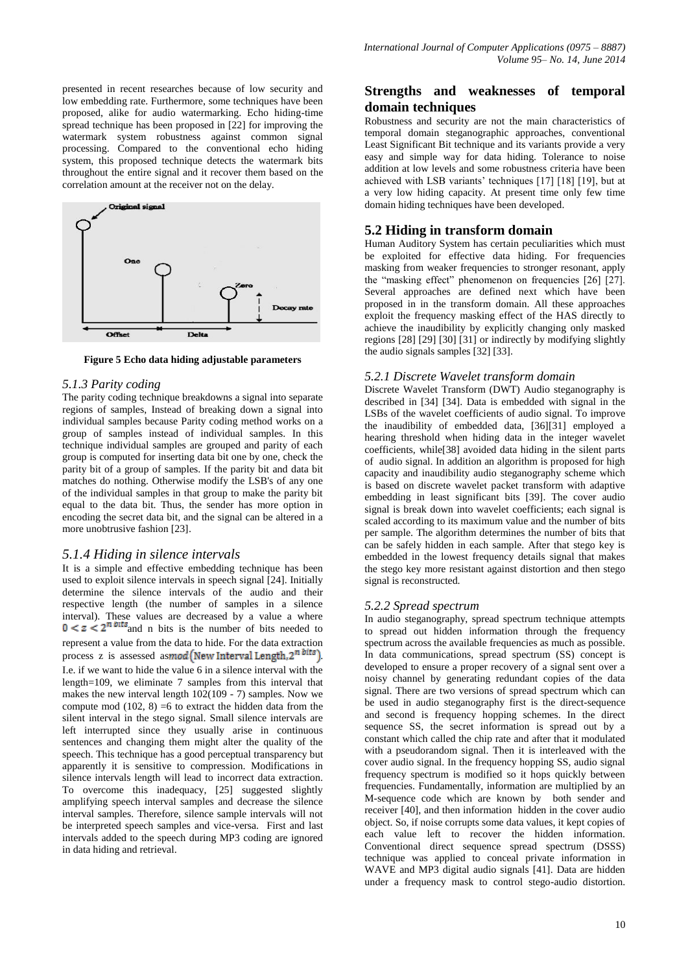presented in recent researches because of low security and low embedding rate. Furthermore, some techniques have been proposed, alike for audio watermarking. Echo hiding-time spread technique has been proposed in [22] for improving the watermark system robustness against common signal processing. Compared to the conventional echo hiding system, this proposed technique detects the watermark bits throughout the entire signal and it recover them based on the correlation amount at the receiver not on the delay.



**Figure 5 Echo data hiding adjustable parameters** 

#### *5.1.3 Parity coding*

The parity coding technique breakdowns a signal into separate regions of samples, Instead of breaking down a signal into individual samples because Parity coding method works on a group of samples instead of individual samples. In this technique individual samples are grouped and parity of each group is computed for inserting data bit one by one, check the parity bit of a group of samples. If the parity bit and data bit matches do nothing. Otherwise modify the LSB's of any one of the individual samples in that group to make the parity bit equal to the data bit. Thus, the sender has more option in encoding the secret data bit, and the signal can be altered in a more unobtrusive fashion [23].

## *5.1.4 Hiding in silence intervals*

It is a simple and effective embedding technique has been used to exploit silence intervals in speech signal [24]. Initially determine the silence intervals of the audio and their respective length (the number of samples in a silence interval). These values are decreased by a value a where  $0 < z < 2^n$  bits and n bits is the number of bits needed to represent a value from the data to hide. For the data extraction process z is assessed as mod (New Interval Length,  $2^{n \text{ bits}}$ ). I.e. if we want to hide the value 6 in a silence interval with the length=109, we eliminate 7 samples from this interval that makes the new interval length  $102(109 - 7)$  samples. Now we compute mod  $(102, 8) = 6$  to extract the hidden data from the silent interval in the stego signal. Small silence intervals are left interrupted since they usually arise in continuous sentences and changing them might alter the quality of the speech. This technique has a good perceptual transparency but apparently it is sensitive to compression. Modifications in silence intervals length will lead to incorrect data extraction. To overcome this inadequacy, [25] suggested slightly amplifying speech interval samples and decrease the silence interval samples. Therefore, silence sample intervals will not be interpreted speech samples and vice-versa. First and last intervals added to the speech during MP3 coding are ignored in data hiding and retrieval.

# **Strengths and weaknesses of temporal domain techniques**

Robustness and security are not the main characteristics of temporal domain steganographic approaches, conventional Least Significant Bit technique and its variants provide a very easy and simple way for data hiding. Tolerance to noise addition at low levels and some robustness criteria have been achieved with LSB variants' techniques [17] [18] [19], but at a very low hiding capacity. At present time only few time domain hiding techniques have been developed.

## **5.2 Hiding in transform domain**

Human Auditory System has certain peculiarities which must be exploited for effective data hiding. For frequencies masking from weaker frequencies to stronger resonant, apply the "masking effect" phenomenon on frequencies [26] [27]. Several approaches are defined next which have been proposed in in the transform domain. All these approaches exploit the frequency masking effect of the HAS directly to achieve the inaudibility by explicitly changing only masked regions [28] [29] [30] [31] or indirectly by modifying slightly the audio signals samples [32] [33].

#### *5.2.1 Discrete Wavelet transform domain*

Discrete Wavelet Transform (DWT) Audio steganography is described in [34] [34]. Data is embedded with signal in the LSBs of the wavelet coefficients of audio signal. To improve the inaudibility of embedded data, [36][31] employed a hearing threshold when hiding data in the integer wavelet coefficients, while[38] avoided data hiding in the silent parts of audio signal. In addition an algorithm is proposed for high capacity and inaudibility audio steganography scheme which is based on discrete wavelet packet transform with adaptive embedding in least significant bits [39]. The cover audio signal is break down into wavelet coefficients; each signal is scaled according to its maximum value and the number of bits per sample. The algorithm determines the number of bits that can be safely hidden in each sample. After that stego key is embedded in the lowest frequency details signal that makes the stego key more resistant against distortion and then stego signal is reconstructed.

#### *5.2.2 Spread spectrum*

In audio steganography, spread spectrum technique attempts to spread out hidden information through the frequency spectrum across the available frequencies as much as possible. In data communications, spread spectrum (SS) concept is developed to ensure a proper recovery of a signal sent over a noisy channel by generating redundant copies of the data signal. There are two versions of spread spectrum which can be used in audio steganography first is the direct-sequence and second is frequency hopping schemes. In the direct sequence SS, the secret information is spread out by a constant which called the chip rate and after that it modulated with a pseudorandom signal. Then it is interleaved with the cover audio signal. In the frequency hopping SS, audio signal frequency spectrum is modified so it hops quickly between frequencies. Fundamentally, information are multiplied by an M-sequence code which are known by both sender and receiver [40], and then information hidden in the cover audio object. So, if noise corrupts some data values, it kept copies of each value left to recover the hidden information. Conventional direct sequence spread spectrum (DSSS) technique was applied to conceal private information in WAVE and MP3 digital audio signals [41]. Data are hidden under a frequency mask to control stego-audio distortion.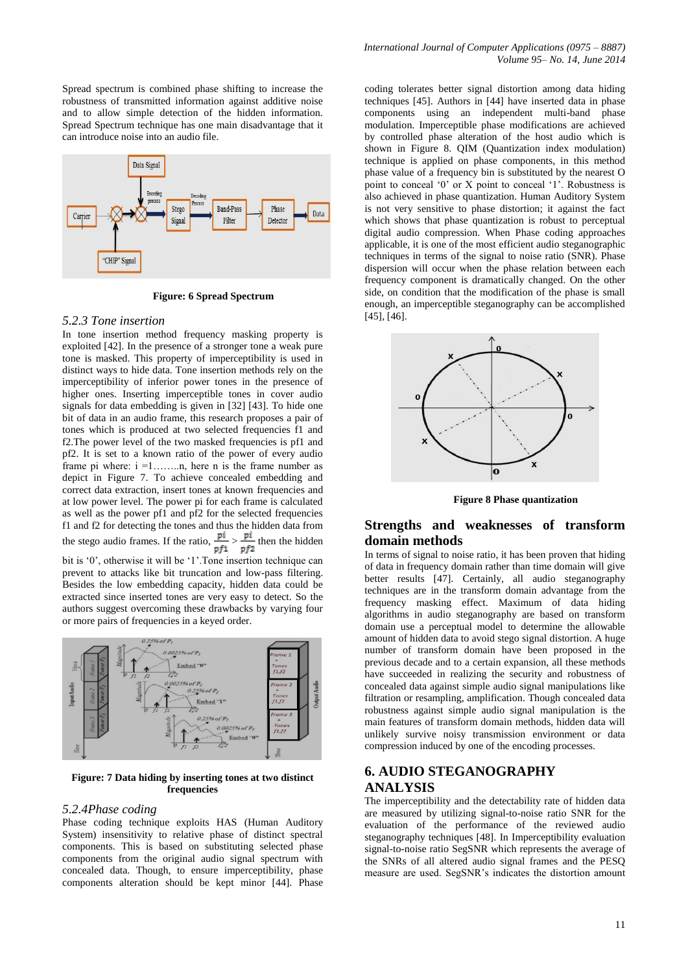Spread spectrum is combined phase shifting to increase the robustness of transmitted information against additive noise and to allow simple detection of the hidden information. Spread Spectrum technique has one main disadvantage that it can introduce noise into an audio file.



**Figure: 6 Spread Spectrum**

#### *5.2.3 Tone insertion*

In tone insertion method frequency masking property is exploited [42]. In the presence of a stronger tone a weak pure tone is masked. This property of imperceptibility is used in distinct ways to hide data. Tone insertion methods rely on the imperceptibility of inferior power tones in the presence of higher ones. Inserting imperceptible tones in cover audio signals for data embedding is given in [32] [43]. To hide one bit of data in an audio frame, this research proposes a pair of tones which is produced at two selected frequencies f1 and f2.The power level of the two masked frequencies is pf1 and pf2. It is set to a known ratio of the power of every audio frame pi where:  $i = 1, \ldots, n$ , here n is the frame number as depict in Figure 7. To achieve concealed embedding and correct data extraction, insert tones at known frequencies and at low power level. The power pi for each frame is calculated as well as the power pf1 and pf2 for the selected frequencies f1 and f2 for detecting the tones and thus the hidden data from the stego audio frames. If the ratio,  $\frac{pi}{p f} > \frac{pi}{p f^2}$  then the hidden bit is '0', otherwise it will be '1'.Tone insertion technique can

prevent to attacks like bit truncation and low-pass filtering. Besides the low embedding capacity, hidden data could be extracted since inserted tones are very easy to detect. So the authors suggest overcoming these drawbacks by varying four or more pairs of frequencies in a keyed order.



**Figure: 7 Data hiding by inserting tones at two distinct frequencies**

#### *5.2.4Phase coding*

Phase coding technique exploits HAS (Human Auditory System) insensitivity to relative phase of distinct spectral components. This is based on substituting selected phase components from the original audio signal spectrum with concealed data. Though, to ensure imperceptibility, phase components alteration should be kept minor [44]. Phase

coding tolerates better signal distortion among data hiding techniques [45]. Authors in [44] have inserted data in phase components using an independent multi-band phase modulation. Imperceptible phase modifications are achieved by controlled phase alteration of the host audio which is shown in Figure 8. QIM (Quantization index modulation) technique is applied on phase components, in this method phase value of a frequency bin is substituted by the nearest O point to conceal '0' or X point to conceal '1'. Robustness is also achieved in phase quantization. Human Auditory System is not very sensitive to phase distortion; it against the fact which shows that phase quantization is robust to perceptual digital audio compression. When Phase coding approaches applicable, it is one of the most efficient audio steganographic techniques in terms of the signal to noise ratio (SNR). Phase dispersion will occur when the phase relation between each frequency component is dramatically changed. On the other side, on condition that the modification of the phase is small enough, an imperceptible steganography can be accomplished [45], [46].



**Figure 8 Phase quantization**

# **Strengths and weaknesses of transform domain methods**

In terms of signal to noise ratio, it has been proven that hiding of data in frequency domain rather than time domain will give better results [47]. Certainly, all audio steganography techniques are in the transform domain advantage from the frequency masking effect. Maximum of data hiding algorithms in audio steganography are based on transform domain use a perceptual model to determine the allowable amount of hidden data to avoid stego signal distortion. A huge number of transform domain have been proposed in the previous decade and to a certain expansion, all these methods have succeeded in realizing the security and robustness of concealed data against simple audio signal manipulations like filtration or resampling, amplification. Though concealed data robustness against simple audio signal manipulation is the main features of transform domain methods, hidden data will unlikely survive noisy transmission environment or data compression induced by one of the encoding processes.

# **6. AUDIO STEGANOGRAPHY ANALYSIS**

The imperceptibility and the detectability rate of hidden data are measured by utilizing signal-to-noise ratio SNR for the evaluation of the performance of the reviewed audio steganography techniques [48]. In Imperceptibility evaluation signal-to-noise ratio SegSNR which represents the average of the SNRs of all altered audio signal frames and the PESQ measure are used. SegSNR's indicates the distortion amount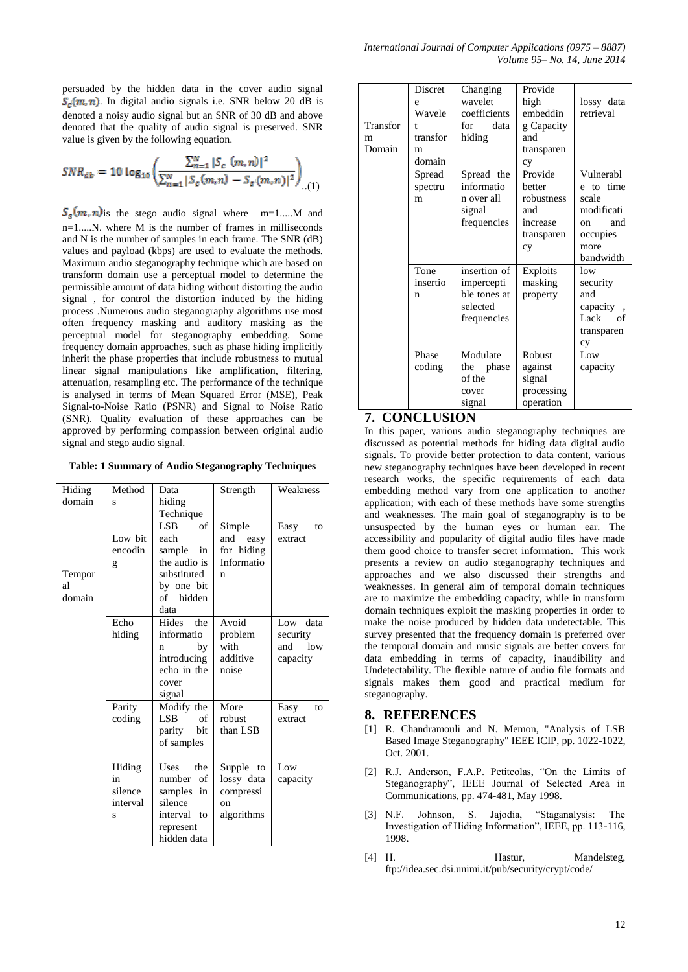persuaded by the hidden data in the cover audio signal  $S_c(m, n)$ . In digital audio signals i.e. SNR below 20 dB is denoted a noisy audio signal but an SNR of 30 dB and above denoted that the quality of audio signal is preserved. SNR value is given by the following equation.

$$
SNR_{db} = 10 \log_{10} \left( \frac{\sum_{n=1}^{N} |S_c (m, n)|^2}{\sum_{n=1}^{N} |S_c (m, n) - S_s (m, n)|^2} \right)_{\dots (1)}
$$

 $S_s(m, n)$  is the stego audio signal where m=1.....M and n=1.....N. where M is the number of frames in milliseconds and N is the number of samples in each frame. The SNR (dB) values and payload (kbps) are used to evaluate the methods. Maximum audio steganography technique which are based on transform domain use a perceptual model to determine the permissible amount of data hiding without distorting the audio signal , for control the distortion induced by the hiding process .Numerous audio steganography algorithms use most often frequency masking and auditory masking as the perceptual model for steganography embedding. Some frequency domain approaches, such as phase hiding implicitly inherit the phase properties that include robustness to mutual linear signal manipulations like amplification, filtering, attenuation, resampling etc. The performance of the technique is analysed in terms of Mean Squared Error (MSE), Peak Signal-to-Noise Ratio (PSNR) and Signal to Noise Ratio (SNR). Quality evaluation of these approaches can be approved by performing compassion between original audio signal and stego audio signal.

**Table: 1 Summary of Audio Steganography Techniques**

| Hiding | Method   | Data              | Strength     | Weakness   |
|--------|----------|-------------------|--------------|------------|
| domain | S        | hiding            |              |            |
|        |          | Technique         |              |            |
|        |          | $\alpha$ f<br>LSB | Simple       | Easy<br>to |
|        | Low bit  | each              | and easy     | extract    |
|        | encodin  | sample<br>in      | for hiding   |            |
|        | g        | the audio is      | Informatio   |            |
| Tempor |          | substituted       | n            |            |
| al     |          | by one bit        |              |            |
| domain |          | of hidden         |              |            |
|        |          | data              |              |            |
|        | Echo     | Hides the         | Avoid        | Low data   |
|        | hiding   | informatio        | problem      | security   |
|        |          | by<br>n           | with         | and low    |
|        |          | introducing       | additive     | capacity   |
|        |          | echo in the       | noise        |            |
|        |          | cover             |              |            |
|        |          | signal            |              |            |
|        | Parity   | Modify the        | More         | Easy<br>to |
|        | coding   | LSB.<br>of        | robust       | extract    |
|        |          | parity<br>bit     | than LSB     |            |
|        |          | of samples        |              |            |
|        |          |                   |              |            |
|        | Hiding   | Uses<br>the       | Supple<br>to | Low        |
|        | in       | number<br>of      | lossy data   | capacity   |
|        | silence  | samples in        | compressi    |            |
|        | interval | silence           | on           |            |
|        | S        | interval to       | algorithms   |            |
|        |          | represent         |              |            |
|        |          | hidden data       |              |            |

| Transfor<br>m<br>Domain | Discret<br>e<br>Wavele<br>t<br>transfor<br>m<br>domain | Changing<br>wavelet<br>coefficients<br>data<br>for<br>hiding          | Provide<br>high<br>embeddin<br>g Capacity<br>and<br>transparen<br>cy   | lossy data<br>retrieval                                                                     |
|-------------------------|--------------------------------------------------------|-----------------------------------------------------------------------|------------------------------------------------------------------------|---------------------------------------------------------------------------------------------|
|                         | Spread<br>spectru<br>m                                 | Spread the<br>informatio<br>n over all<br>signal<br>frequencies       | Provide<br>better<br>robustness<br>and<br>increase<br>transparen<br>cy | Vulnerabl<br>e to time<br>scale<br>modificati<br>and<br>on<br>occupies<br>more<br>bandwidth |
|                         | Tone<br>insertio<br>n                                  | insertion of<br>impercepti<br>ble tones at<br>selected<br>frequencies | Exploits<br>masking<br>property                                        | low<br>security<br>and<br>capacity,<br>Lack of<br>transparen<br>cy                          |
|                         | Phase<br>coding                                        | Modulate<br>the phase<br>of the<br>cover<br>signal                    | Robust<br>against<br>signal<br>processing<br>operation                 | Low<br>capacity                                                                             |

## **7. CONCLUSION**

In this paper, various audio steganography techniques are discussed as potential methods for hiding data digital audio signals. To provide better protection to data content, various new steganography techniques have been developed in recent research works, the specific requirements of each data embedding method vary from one application to another application; with each of these methods have some strengths and weaknesses. The main goal of steganography is to be unsuspected by the human eyes or human ear. The accessibility and popularity of digital audio files have made them good choice to transfer secret information. This work presents a review on audio steganography techniques and approaches and we also discussed their strengths and weaknesses. In general aim of temporal domain techniques are to maximize the embedding capacity, while in transform domain techniques exploit the masking properties in order to make the noise produced by hidden data undetectable. This survey presented that the frequency domain is preferred over the temporal domain and music signals are better covers for data embedding in terms of capacity, inaudibility and Undetectability. The flexible nature of audio file formats and signals makes them good and practical medium for steganography.

## **8. REFERENCES**

- [1] R. Chandramouli and N. Memon, "Analysis of LSB Based Image Steganography" IEEE ICIP, pp. 1022-1022, Oct. 2001.
- [2] R.J. Anderson, F.A.P. Petitcolas, "On the Limits of Steganography", IEEE Journal of Selected Area in Communications, pp. 474-481, May 1998.
- [3] N.F. Johnson, S. Jajodia, "Staganalysis: The Investigation of Hiding Information", IEEE, pp. 113-116, 1998.
- [4] H. Hastur, Mandelsteg, <ftp://idea.sec.dsi.unimi.it/pub/security/crypt/code/>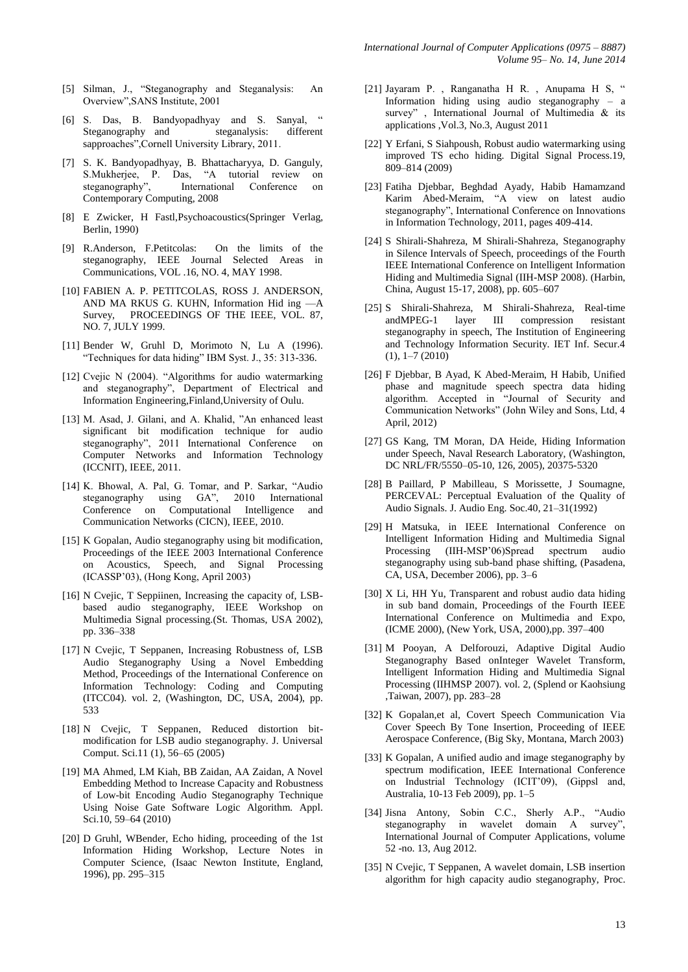- [5] Silman, J., "Steganography and Steganalysis: An Overview",SANS Institute, 2001
- [6] S. Das, B. Bandyopadhyay and S. Sanyal, " Steganography and steganalysis: different sapproaches",Cornell University Library, 2011.
- [7] S. K. Bandyopadhyay, B. Bhattacharyya, D. Ganguly, S.Mukherjee, P. Das, "A tutorial review on steganography", International Conference on Contemporary Computing, 2008
- [8] E Zwicker, H Fastl,Psychoacoustics(Springer Verlag, Berlin, 1990)
- [9] R.Anderson, F.Petitcolas: On the limits of the steganography, IEEE Journal Selected Areas in Communications, VOL .16, NO. 4, MAY 1998.
- [10] FABIEN A. P. PETITCOLAS, ROSS J. ANDERSON, AND MA RKUS G. KUHN, Information Hid ing —A Survey, PROCEEDINGS OF THE IEEE, VOL. 87, NO. 7, JULY 1999.
- [11] Bender W, Gruhl D, Morimoto N, Lu A (1996). "Techniques for data hiding" IBM Syst. J., 35: 313-336.
- [12] Cvejic N (2004). "Algorithms for audio watermarking and steganography", Department of Electrical and Information Engineering,Finland,University of Oulu.
- [13] M. Asad, J. Gilani, and A. Khalid, "An enhanced least significant bit modification technique for audio steganography", 2011 International Conference on Computer Networks and Information Technology (ICCNIT), IEEE, 2011.
- [14] K. Bhowal, A. Pal, G. Tomar, and P. Sarkar, "Audio steganography using GA", 2010 International Conference on Computational Intelligence and Communication Networks (CICN), IEEE, 2010.
- [15] K Gopalan, Audio steganography using bit modification, Proceedings of the IEEE 2003 International Conference on Acoustics, Speech, and Signal Processing (ICASSP'03), (Hong Kong, April 2003)
- [16] N Cvejic, T Seppiinen, Increasing the capacity of, LSBbased audio steganography, IEEE Workshop on Multimedia Signal processing.(St. Thomas, USA 2002), pp. 336–338
- [17] N Cvejic, T Seppanen, Increasing Robustness of, LSB Audio Steganography Using a Novel Embedding Method, Proceedings of the International Conference on Information Technology: Coding and Computing (ITCC04). vol. 2, (Washington, DC, USA, 2004), pp. 533
- [18] N Cvejic, T Seppanen, Reduced distortion bitmodification for LSB audio steganography. J. Universal Comput. Sci.11 (1), 56–65 (2005)
- [19] MA Ahmed, LM Kiah, BB Zaidan, AA Zaidan, A Novel Embedding Method to Increase Capacity and Robustness of Low-bit Encoding Audio Steganography Technique Using Noise Gate Software Logic Algorithm. Appl. Sci.10, 59–64 (2010)
- [20] D Gruhl, WBender, Echo hiding, proceeding of the 1st Information Hiding Workshop, Lecture Notes in Computer Science, (Isaac Newton Institute, England, 1996), pp. 295–315
- [21] Jayaram P. , Ranganatha H R. , Anupama H S, " Information hiding using audio steganography – a survey" , International Journal of Multimedia & its applications ,Vol.3, No.3, August 2011
- [22] Y Erfani, S Siahpoush, Robust audio watermarking using improved TS echo hiding. Digital Signal Process.19, 809–814 (2009)
- [23] Fatiha Djebbar, Beghdad Ayady, Habib Hamamzand Karim Abed-Meraim, "A view on latest audio steganography", International Conference on Innovations in Information Technology, 2011, pages 409-414.
- [24] S Shirali-Shahreza, M Shirali-Shahreza, Steganography in Silence Intervals of Speech, proceedings of the Fourth IEEE International Conference on Intelligent Information Hiding and Multimedia Signal (IIH-MSP 2008). (Harbin, China, August 15-17, 2008), pp. 605–607
- [25] S Shirali-Shahreza, M Shirali-Shahreza, Real-time andMPEG-1 layer III compression resistant steganography in speech, The Institution of Engineering and Technology Information Security. IET Inf. Secur.4 (1), 1–7 (2010)
- [26] F Djebbar, B Ayad, K Abed-Meraim, H Habib, Unified phase and magnitude speech spectra data hiding algorithm. Accepted in "Journal of Security and Communication Networks" (John Wiley and Sons, Ltd, 4 April, 2012)
- [27] GS Kang, TM Moran, DA Heide, Hiding Information under Speech, Naval Research Laboratory, (Washington, DC NRL/FR/5550–05-10, 126, 2005), 20375-5320
- [28] B Paillard, P Mabilleau, S Morissette, J Soumagne, PERCEVAL: Perceptual Evaluation of the Quality of Audio Signals. J. Audio Eng. Soc.40, 21–31(1992)
- [29] H Matsuka, in IEEE International Conference on Intelligent Information Hiding and Multimedia Signal Processing (IIH-MSP'06)Spread spectrum audio steganography using sub-band phase shifting, (Pasadena, CA, USA, December 2006), pp. 3–6
- [30] X Li, HH Yu, Transparent and robust audio data hiding in sub band domain, Proceedings of the Fourth IEEE International Conference on Multimedia and Expo, (ICME 2000), (New York, USA, 2000),pp. 397–400
- [31] M Pooyan, A Delforouzi, Adaptive Digital Audio Steganography Based onInteger Wavelet Transform, Intelligent Information Hiding and Multimedia Signal Processing (IIHMSP 2007). vol. 2, (Splend or Kaohsiung ,Taiwan, 2007), pp. 283–28
- [32] K Gopalan,et al, Covert Speech Communication Via Cover Speech By Tone Insertion, Proceeding of IEEE Aerospace Conference, (Big Sky, Montana, March 2003)
- [33] K Gopalan, A unified audio and image steganography by spectrum modification, IEEE International Conference on Industrial Technology (ICIT'09), (Gippsl and, Australia, 10-13 Feb 2009), pp. 1–5
- [34] Jisna Antony, Sobin C.C., Sherly A.P., "Audio steganography in wavelet domain A survey", International Journal of Computer Applications, volume 52 -no. 13, Aug 2012.
- [35] N Cvejic, T Seppanen, A wavelet domain, LSB insertion algorithm for high capacity audio steganography, Proc.